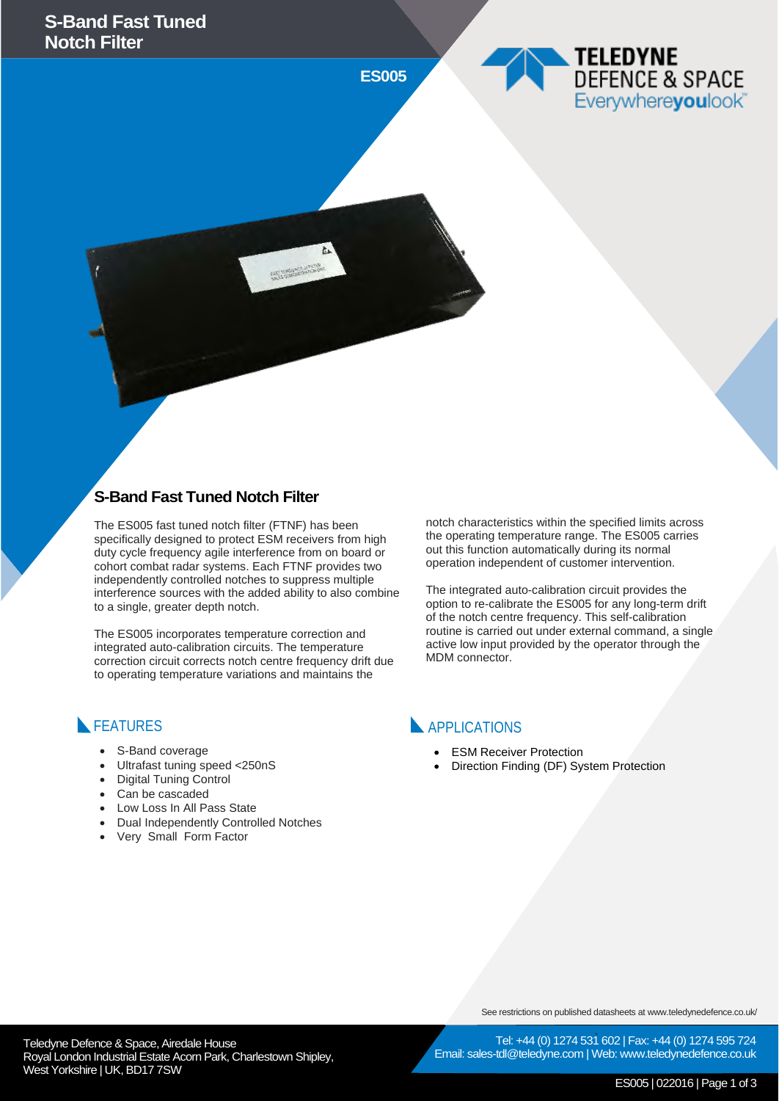**ES005**

### **S-Band Fast Tuned Notch Filter**

The ES005 fast tuned notch filter (FTNF) has been specifically designed to protect ESM receivers from high duty cycle frequency agile interference from on board or cohort combat radar systems. Each FTNF provides two independently controlled notches to suppress multiple interference sources with the added ability to also combine to a single, greater depth notch.

FAST TURED NOTCH FILTER

The ES005 incorporates temperature correction and integrated auto-calibration circuits. The temperature correction circuit corrects notch centre frequency drift due to operating temperature variations and maintains the

#### notch characteristics within the specified limits across the operating temperature range. The ES005 carries out this function automatically during its normal operation independent of customer intervention.

**TELEDYNE** 

DEFENCE & SPACE Everywhereyoulook

The integrated auto-calibration circuit provides the option to re-calibrate the ES005 for any long-term drift of the notch centre frequency. This self-calibration routine is carried out under external command, a single active low input provided by the operator through the MDM connector.

#### **FEATURES**

- S-Band coverage
- Ultrafast tuning speed <250nS
- Digital Tuning Control
- Can be cascaded
- Low Loss In All Pass State
- Dual Independently Controlled Notches
- Very Small Form Factor

APPLICATIONS

- ESM Receiver Protection
- Direction Finding (DF) System Protection

See restrictions on published datasheets at www.teledynedefence.co.uk/

Tel: +44 (0) 1274 531 602 | Fax: +44 (0) 1274 595 724 Email: sales-tdl@teledyne.com | Web: www.teledynedefence.co.uk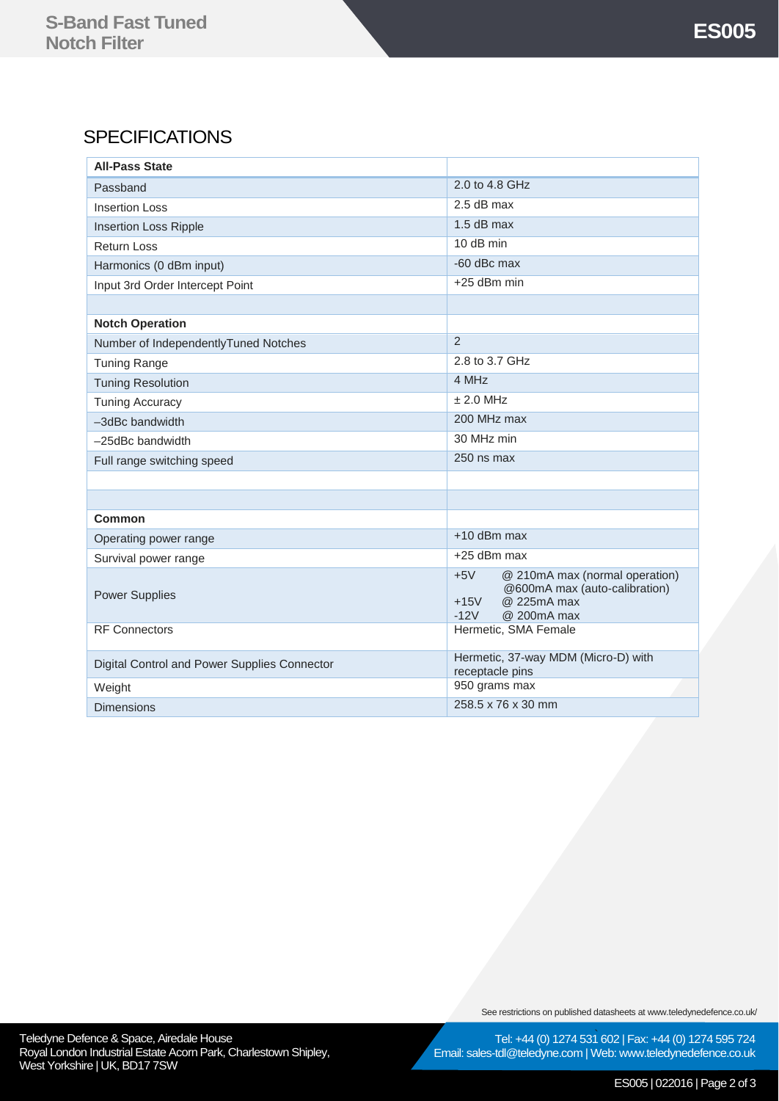## **SPECIFICATIONS**

| <b>All-Pass State</b>                        |                                                                                                                            |
|----------------------------------------------|----------------------------------------------------------------------------------------------------------------------------|
| Passband                                     | 2.0 to 4.8 GHz                                                                                                             |
| <b>Insertion Loss</b>                        | 2.5 dB max                                                                                                                 |
| <b>Insertion Loss Ripple</b>                 | $1.5$ dB max                                                                                                               |
| <b>Return Loss</b>                           | 10 dB min                                                                                                                  |
| Harmonics (0 dBm input)                      | -60 dBc max                                                                                                                |
| Input 3rd Order Intercept Point              | +25 dBm min                                                                                                                |
|                                              |                                                                                                                            |
| <b>Notch Operation</b>                       |                                                                                                                            |
| Number of IndependentlyTuned Notches         | $\overline{2}$                                                                                                             |
| <b>Tuning Range</b>                          | 2.8 to 3.7 GHz                                                                                                             |
| <b>Tuning Resolution</b>                     | 4 MHz                                                                                                                      |
| <b>Tuning Accuracy</b>                       | ± 2.0 MHz                                                                                                                  |
| -3dBc bandwidth                              | 200 MHz max                                                                                                                |
| $-25$ dBc bandwidth                          | 30 MHz min                                                                                                                 |
| Full range switching speed                   | 250 ns max                                                                                                                 |
|                                              |                                                                                                                            |
|                                              |                                                                                                                            |
| <b>Common</b>                                |                                                                                                                            |
| Operating power range                        | +10 dBm max                                                                                                                |
| Survival power range                         | +25 dBm max                                                                                                                |
| <b>Power Supplies</b>                        | $+5V$<br>@ 210mA max (normal operation)<br>@600mA max (auto-calibration)<br>@ 225mA max<br>$+15V$<br>$-12V$<br>@ 200mA max |
| <b>RF Connectors</b>                         | Hermetic, SMA Female                                                                                                       |
| Digital Control and Power Supplies Connector | Hermetic, 37-way MDM (Micro-D) with<br>receptacle pins                                                                     |
| Weight                                       | 950 grams max                                                                                                              |
| <b>Dimensions</b>                            | 258.5 x 76 x 30 mm                                                                                                         |

Teledyne Defence & Space, Airedale House **Construction and Construction Construction** Tel: +44 (0) 1274 531 Royal London Industrial Estate Acorn Park, Charlestown Shipley,

West Yorkshire | UK, BD17 7SW

See restrictions on published datasheets at www.teledynedefence.co.uk/